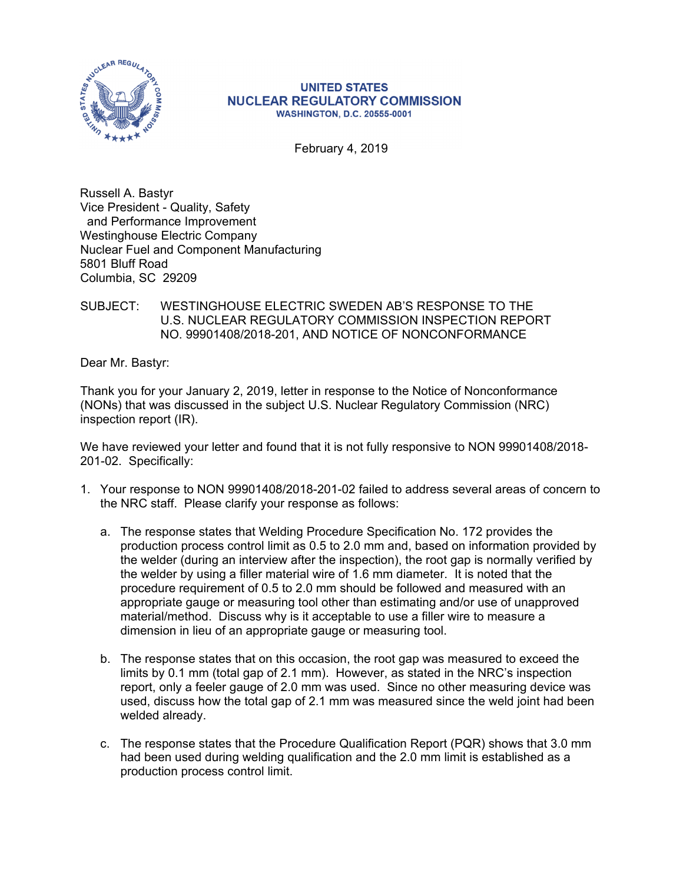

#### **UNITED STATES NUCLEAR REGULATORY COMMISSION WASHINGTON, D.C. 20555-0001**

February 4, 2019

Russell A. Bastyr Vice President - Quality, Safety and Performance Improvement Westinghouse Electric Company Nuclear Fuel and Component Manufacturing 5801 Bluff Road Columbia, SC 29209

## SUBJECT: WESTINGHOUSE ELECTRIC SWEDEN AB'S RESPONSE TO THE U.S. NUCLEAR REGULATORY COMMISSION INSPECTION REPORT NO. 99901408/2018-201, AND NOTICE OF NONCONFORMANCE

Dear Mr. Bastyr:

Thank you for your January 2, 2019, letter in response to the Notice of Nonconformance (NONs) that was discussed in the subject U.S. Nuclear Regulatory Commission (NRC) inspection report (IR).

We have reviewed your letter and found that it is not fully responsive to NON 99901408/2018- 201-02. Specifically:

- 1. Your response to NON 99901408/2018-201-02 failed to address several areas of concern to the NRC staff. Please clarify your response as follows:
	- a. The response states that Welding Procedure Specification No. 172 provides the production process control limit as 0.5 to 2.0 mm and, based on information provided by the welder (during an interview after the inspection), the root gap is normally verified by the welder by using a filler material wire of 1.6 mm diameter. It is noted that the procedure requirement of 0.5 to 2.0 mm should be followed and measured with an appropriate gauge or measuring tool other than estimating and/or use of unapproved material/method. Discuss why is it acceptable to use a filler wire to measure a dimension in lieu of an appropriate gauge or measuring tool.
	- b. The response states that on this occasion, the root gap was measured to exceed the limits by 0.1 mm (total gap of 2.1 mm). However, as stated in the NRC's inspection report, only a feeler gauge of 2.0 mm was used. Since no other measuring device was used, discuss how the total gap of 2.1 mm was measured since the weld joint had been welded already.
	- c. The response states that the Procedure Qualification Report (PQR) shows that 3.0 mm had been used during welding qualification and the 2.0 mm limit is established as a production process control limit.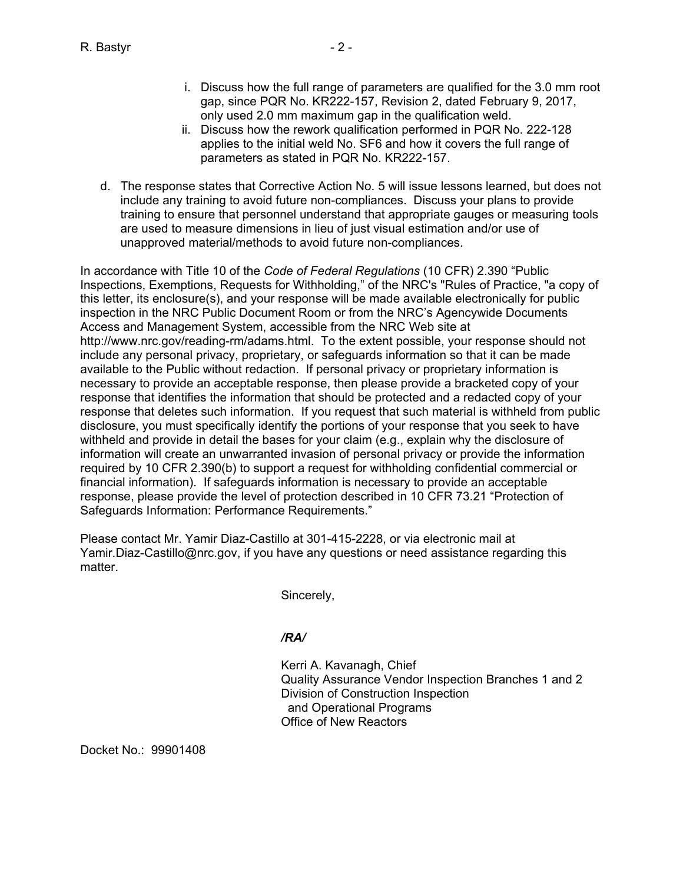- i. Discuss how the full range of parameters are qualified for the 3.0 mm root gap, since PQR No. KR222-157, Revision 2, dated February 9, 2017, only used 2.0 mm maximum gap in the qualification weld.
- ii. Discuss how the rework qualification performed in PQR No. 222-128 applies to the initial weld No. SF6 and how it covers the full range of parameters as stated in PQR No. KR222-157.
- d. The response states that Corrective Action No. 5 will issue lessons learned, but does not include any training to avoid future non-compliances. Discuss your plans to provide training to ensure that personnel understand that appropriate gauges or measuring tools are used to measure dimensions in lieu of just visual estimation and/or use of unapproved material/methods to avoid future non-compliances.

In accordance with Title 10 of the *Code of Federal Regulations* (10 CFR) 2.390 "Public Inspections, Exemptions, Requests for Withholding," of the NRC's "Rules of Practice, "a copy of this letter, its enclosure(s), and your response will be made available electronically for public inspection in the NRC Public Document Room or from the NRC's Agencywide Documents Access and Management System, accessible from the NRC Web site at http://www.nrc.gov/reading-rm/adams.html. To the extent possible, your response should not include any personal privacy, proprietary, or safeguards information so that it can be made available to the Public without redaction. If personal privacy or proprietary information is necessary to provide an acceptable response, then please provide a bracketed copy of your response that identifies the information that should be protected and a redacted copy of your response that deletes such information. If you request that such material is withheld from public disclosure, you must specifically identify the portions of your response that you seek to have withheld and provide in detail the bases for your claim (e.g., explain why the disclosure of information will create an unwarranted invasion of personal privacy or provide the information required by 10 CFR 2.390(b) to support a request for withholding confidential commercial or financial information). If safeguards information is necessary to provide an acceptable response, please provide the level of protection described in 10 CFR 73.21 "Protection of Safeguards Information: Performance Requirements."

Please contact Mr. Yamir Diaz-Castillo at 301-415-2228, or via electronic mail at Yamir.Diaz-Castillo@nrc.gov, if you have any questions or need assistance regarding this matter.

Sincerely,

# */RA/*

Kerri A. Kavanagh, Chief Quality Assurance Vendor Inspection Branches 1 and 2 Division of Construction Inspection and Operational Programs Office of New Reactors

Docket No.: 99901408